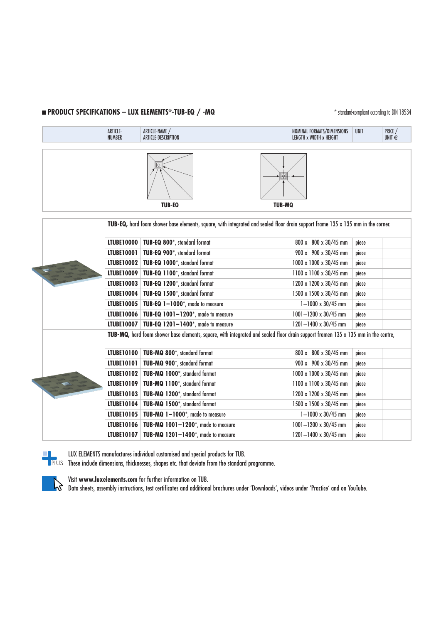# **n PRODUCT SPECIFICATIONS – LUX ELEMENTS®-TUB-EQ / -MQ** \* \* standard-compliant according to DIN 18534

|  |                                                                                                                                          | ARTICLE-<br><b>NUMBER</b> | ARTICLE-NAME /<br>ARTICLE-DESCRIPTION           |               | NOMINAL FORMATS/DIMENSIONS<br>LENGTH x WIDTH x HEIGHT | <b>UNIT</b> | PRICE /<br>UNIT $\epsilon$ |  |
|--|------------------------------------------------------------------------------------------------------------------------------------------|---------------------------|-------------------------------------------------|---------------|-------------------------------------------------------|-------------|----------------------------|--|
|  |                                                                                                                                          |                           | <b>TUB-EQ</b>                                   | <b>TUB-MQ</b> |                                                       |             |                            |  |
|  | TUB-EQ, hard foam shower base elements, square, with integrated and sealed floor drain support frame 135 x 135 mm in the corner.         |                           |                                                 |               |                                                       |             |                            |  |
|  |                                                                                                                                          | <b>LTUBE10000</b>         | TUB-EQ 800*, standard format                    |               | 800 x 800 x 30/45 mm                                  | piece       |                            |  |
|  |                                                                                                                                          | LTUBE10001                | TUB-EQ 900*, standard format                    |               | 900 x 900 x 30/45 mm                                  | piece       |                            |  |
|  |                                                                                                                                          | LTUBE10002                | TUB-EQ 1000*, standard format                   |               | 1000 x 1000 x 30/45 mm                                | piece       |                            |  |
|  |                                                                                                                                          | <b>LTUBE10009</b>         | TUB-EQ 1100*, standard format                   |               | 1100 x 1100 x 30/45 mm                                | piece       |                            |  |
|  |                                                                                                                                          | LTUBE10003                | TUB-EQ 1200*, standard format                   |               | 1200 x 1200 x 30/45 mm                                | piece       |                            |  |
|  |                                                                                                                                          | LTUBE10004                | TUB-EQ 1500*, standard format                   |               | 1500 x 1500 x 30/45 mm                                | piece       |                            |  |
|  |                                                                                                                                          | LTUBE10005                | TUB-EQ 1-1000*, made to measure                 |               | $1 - 1000 \times 30/45$ mm                            | piece       |                            |  |
|  |                                                                                                                                          | <b>LTUBE10006</b>         | TUB-EQ 1001-1200*, made to measure              |               | 1001-1200 x 30/45 mm                                  | piece       |                            |  |
|  |                                                                                                                                          |                           | LTUBE10007   TUB-EQ 1201-1400*, made to measure |               | $1201 - 1400 \times 30/45$ mm                         | piece       |                            |  |
|  | TUB-MQ, hard foam shower base elements, square, with integrated and sealed floor drain support framen $135 \times 135$ mm in the centre, |                           |                                                 |               |                                                       |             |                            |  |
|  |                                                                                                                                          | <b>LTUBE10100</b>         | TUB-MQ 800*, standard format                    |               | 800 x 800 x 30/45 mm                                  | piece       |                            |  |
|  |                                                                                                                                          | LTUBE10101                | TUB-MQ 900*, standard format                    |               | 900 x 900 x 30/45 mm                                  | piece       |                            |  |
|  |                                                                                                                                          | LTUBE10102                | TUB-MQ 1000*, standard format                   |               | 1000 x 1000 x 30/45 mm                                | piece       |                            |  |
|  |                                                                                                                                          | <b>LTUBE10109</b>         | TUB-MQ 1100*, standard format                   |               | 1100 x 1100 x 30/45 mm                                | piece       |                            |  |
|  |                                                                                                                                          | <b>LTUBE10103</b>         | TUB-MQ 1200*, standard format                   |               | 1200 x 1200 x 30/45 mm                                | piece       |                            |  |
|  |                                                                                                                                          | LTUBE10104                | TUB-MQ 1500*, standard format                   |               | 1500 x 1500 x 30/45 mm                                | piece       |                            |  |
|  |                                                                                                                                          | <b>LTUBE10105</b>         | TUB-MQ 1-1000*, made to measure                 |               | $1 - 1000 \times 30/45$ mm                            | piece       |                            |  |
|  |                                                                                                                                          | LTUBE10106                | TUB-MQ 1001-1200*, made to measure              |               | 1001-1200 x 30/45 mm                                  | piece       |                            |  |
|  |                                                                                                                                          | <b>LTUBE10107</b>         | TUB-MQ 1201-1400*, made to measure              |               | 1201-1400 x 30/45 mm                                  | piece       |                            |  |



LUX ELEMENTS manufactures individual customised and special products for TUB.

These include dimensions, thicknesses, shapes etc. that deviate from the standard programme.

Visit **www.luxelements.com** for further information on TUB.

Data sheets, assembly instructions, test certificates and additional brochures under 'Downloads', videos under 'Practice' and on YouTube.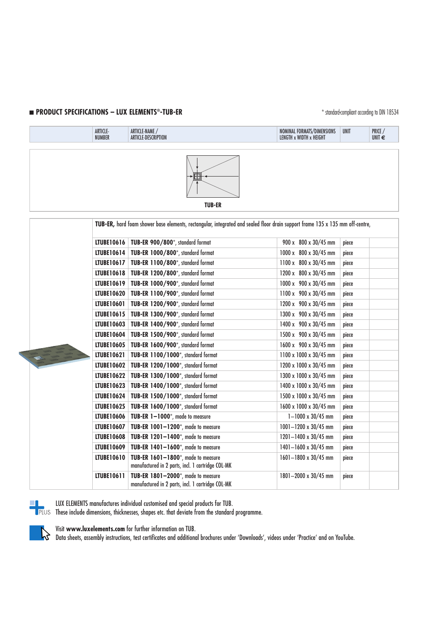### **n PRODUCT SPECIFICATIONS – LUX ELEMENTS®-TUB-ER** \* \$tandard-compliant according to DIN 18534

|  |  | ARTICLE-<br><b>NUMBER</b>                                                                                                     | ARTICLE-NAME /<br>ARTICLE-DESCRIPTION                                                   | NOMINAL FORMATS/DIMENSIONS<br>LENGTH x WIDTH x HEIGHT | <b>UNIT</b> | PRICE /<br>UNIT $\epsilon$ |  |
|--|--|-------------------------------------------------------------------------------------------------------------------------------|-----------------------------------------------------------------------------------------|-------------------------------------------------------|-------------|----------------------------|--|
|  |  |                                                                                                                               | <b>TUB-ER</b>                                                                           |                                                       |             |                            |  |
|  |  | TUB-ER, hard foam shower base elements, rectangular, integrated and sealed floor drain support frame 135 x 135 mm off-centre, |                                                                                         |                                                       |             |                            |  |
|  |  | LTUBE10616                                                                                                                    | TUB-ER 900/800*, standard format                                                        | 900 x 800 x 30/45 mm                                  | piece       |                            |  |
|  |  |                                                                                                                               | LTUBE10614   TUB-ER 1000/800*, standard format                                          | 1000 x 800 x 30/45 mm                                 | piece       |                            |  |
|  |  |                                                                                                                               | LTUBE10617   TUB-ER 1100/800*, standard format                                          | 1100 x 800 x 30/45 mm                                 | piece       |                            |  |
|  |  |                                                                                                                               | LTUBE10618   TUB-ER 1200/800*, standard format                                          | 1200 x 800 x 30/45 mm                                 | piece       |                            |  |
|  |  | LTUBE10619                                                                                                                    | TUB-ER 1000/900*, standard format                                                       | 1000 x 900 x 30/45 mm                                 | piece       |                            |  |
|  |  | <b>LTUBE10620</b>                                                                                                             | TUB-ER 1100/900*, standard format                                                       | 1100 x 900 x 30/45 mm                                 | piece       |                            |  |
|  |  | LTUBE10601                                                                                                                    | TUB-ER 1200/900*, standard format                                                       | 1200 x 900 x 30/45 mm                                 | piece       |                            |  |
|  |  | LTUBE10615                                                                                                                    | TUB-ER 1300/900*, standard format                                                       | 1300 x 900 x 30/45 mm                                 | piece       |                            |  |
|  |  | LTUBE10603                                                                                                                    | TUB-ER 1400/900*, standard format                                                       | 1400 x 900 x 30/45 mm                                 | piece       |                            |  |
|  |  | LTUBE10604                                                                                                                    | TUB-ER 1500/900*, standard format                                                       | 1500 x 900 x 30/45 mm                                 | piece       |                            |  |
|  |  |                                                                                                                               | LTUBE10605   TUB-ER 1600/900*, standard format                                          | 1600 x 900 x 30/45 mm                                 | piece       |                            |  |
|  |  | LTUBE10621                                                                                                                    | TUB-ER 1100/1000*, standard format                                                      | 1100 x 1000 x 30/45 mm                                | piece       |                            |  |
|  |  |                                                                                                                               | LTUBE10602   TUB-ER 1200/1000*, standard format                                         | 1200 x 1000 x 30/45 mm                                | piece       |                            |  |
|  |  |                                                                                                                               | LTUBE10622   TUB-ER 1300/1000*, standard format                                         | 1300 x 1000 x 30/45 mm                                | piece       |                            |  |
|  |  | <b>LTUBE10623</b>                                                                                                             | TUB-ER 1400/1000*, standard format                                                      | 1400 x 1000 x 30/45 mm                                | piece       |                            |  |
|  |  | LTUBE10624                                                                                                                    | TUB-ER 1500/1000*, standard format                                                      | 1500 x 1000 x 30/45 mm                                | piece       |                            |  |
|  |  | <b>LTUBE10625</b>                                                                                                             | TUB-ER 1600/1000*, standard format                                                      | 1600 x 1000 x 30/45 mm                                | piece       |                            |  |
|  |  | <b>LTUBE10606</b>                                                                                                             | TUB-ER 1-1000*, made to measure                                                         | $1 - 1000 \times 30/45$ mm                            | piece       |                            |  |
|  |  | <b>LTUBE10607</b>                                                                                                             | TUB-ER 1001-1200*, made to measure                                                      | 1001-1200 x 30/45 mm                                  | piece       |                            |  |
|  |  | <b>LTUBE10608</b>                                                                                                             | TUB-ER 1201-1400*, made to measure                                                      | $1201 - 1400 \times 30/45$ mm                         | piece       |                            |  |
|  |  | <b>LTUBE10609</b>                                                                                                             | TUB-ER 1401-1600*, made to measure                                                      | 1401-1600 x 30/45 mm                                  | piece       |                            |  |
|  |  | LTUBE10610                                                                                                                    | TUB-ER 1601-1800*, made to measure<br>manufactured in 2 parts, incl. 1 cartridge COL-MK | 1601-1800 x 30/45 mm                                  | piece       |                            |  |
|  |  | LTUBE10611                                                                                                                    | TUB-ER 1801-2000*, made to measure<br>manufactured in 2 parts, incl. 1 cartridge COL-MK | 1801-2000 x 30/45 mm                                  | piece       |                            |  |



LUX ELEMENTS manufactures individual customised and special products for TUB.

These include dimensions, thicknesses, shapes etc. that deviate from the standard programme.



Visit **www.luxelements.com** for further information on TUB. Data sheets, assembly instructions, test certificates and additional brochures under 'Downloads', videos under 'Practice' and on YouTube.